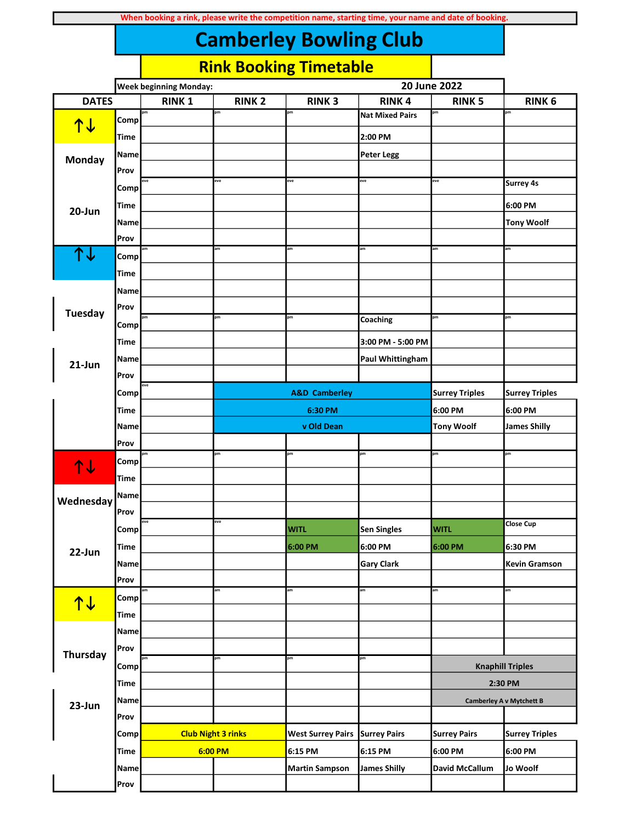|                 |             | <b>Week beginning Monday:</b> |                           |                          |                        | 20 June 2022          |                                 |
|-----------------|-------------|-------------------------------|---------------------------|--------------------------|------------------------|-----------------------|---------------------------------|
| <b>DATES</b>    |             | <b>RINK1</b>                  | <b>RINK 2</b>             | <b>RINK3</b>             | <b>RINK4</b>           | <b>RINK 5</b>         | <b>RINK 6</b>                   |
|                 | Comp        | pm                            | pm                        | pm                       | <b>Nat Mixed Pairs</b> | pm                    | pm                              |
| <u>↑↓</u>       | Time        |                               |                           |                          | 2:00 PM                |                       |                                 |
|                 | Name        |                               |                           |                          | <b>Peter Legg</b>      |                       |                                 |
| Monday          | Prov        |                               |                           |                          |                        |                       |                                 |
|                 | Comp        | eve                           | eve                       | eve                      | eve                    | eve                   | Surrey 4s                       |
| 20-Jun          | Time        |                               |                           |                          |                        |                       | 6:00 PM                         |
|                 | Name        |                               |                           |                          |                        |                       | <b>Tony Woolf</b>               |
|                 | Prov        |                               |                           |                          |                        |                       |                                 |
| 个人              | Comp        | am                            | am                        | am                       | am                     | am                    | am                              |
|                 | Time        |                               |                           |                          |                        |                       |                                 |
|                 | Name        |                               |                           |                          |                        |                       |                                 |
| <b>Tuesday</b>  | Prov        |                               |                           |                          |                        |                       |                                 |
|                 | Comp        | pm                            | pm                        | pm                       | Coaching               | pm                    | pm                              |
|                 | Time        |                               |                           |                          | 3:00 PM - 5:00 PM      |                       |                                 |
| $21$ -Jun       | Name        |                               |                           |                          | Paul Whittingham       |                       |                                 |
|                 | Prov        |                               |                           |                          |                        |                       |                                 |
|                 | Comp        | eve                           |                           | <b>A&amp;D Camberley</b> |                        | <b>Surrey Triples</b> | <b>Surrey Triples</b>           |
|                 | Time        |                               |                           | 6:30 PM                  |                        | 6:00 PM               | 6:00 PM                         |
|                 | Name        |                               |                           | v Old Dean               |                        | <b>Tony Woolf</b>     | James Shilly                    |
|                 | Prov        |                               |                           |                          |                        |                       |                                 |
| <b>14</b>       | Comp        | pm                            | pm                        | pm                       | pm                     | pm                    | pm                              |
|                 | <b>Time</b> |                               |                           |                          |                        |                       |                                 |
| Wednesday       | Name        |                               |                           |                          |                        |                       |                                 |
|                 | Prov        |                               |                           |                          |                        |                       |                                 |
|                 | Comp        | eve                           | eve                       | <b>WITL</b>              | <b>Sen Singles</b>     | <b>WITL</b>           | <b>Close Cup</b>                |
| 22-Jun          | <b>Time</b> |                               |                           | 6:00 PM                  | 6:00 PM                | 6:00 PM               | 6:30 PM                         |
|                 | Name        |                               |                           |                          | <b>Gary Clark</b>      |                       | Kevin Gramson                   |
|                 | Prov        |                               |                           |                          |                        |                       |                                 |
| <u>↑↓</u>       | Comp        |                               | am                        | am                       | am                     | am                    | am                              |
|                 | Time        |                               |                           |                          |                        |                       |                                 |
|                 | Name        |                               |                           |                          |                        |                       |                                 |
| <b>Thursday</b> | Prov        | pm                            |                           |                          | pm                     |                       |                                 |
|                 | Comp        |                               | pm                        | pm                       |                        |                       | <b>Knaphill Triples</b>         |
|                 | <b>Time</b> |                               |                           |                          |                        |                       | 2:30 PM                         |
| 23-Jun          | Name        |                               |                           |                          |                        |                       | <b>Camberley A v Mytchett B</b> |
|                 | Prov        |                               |                           |                          |                        |                       |                                 |
|                 | Comp        |                               | <b>Club Night 3 rinks</b> | <b>West Surrey Pairs</b> | <b>Surrey Pairs</b>    | <b>Surrey Pairs</b>   | <b>Surrey Triples</b>           |
|                 | <b>Time</b> |                               | 6:00 PM                   | 6:15 PM                  | 6:15 PM                | 6:00 PM               | 6:00 PM                         |
|                 | Name        |                               |                           | <b>Martin Sampson</b>    | <b>James Shilly</b>    | <b>David McCallum</b> | Jo Woolf                        |
|                 | Prov        |                               |                           |                          |                        |                       |                                 |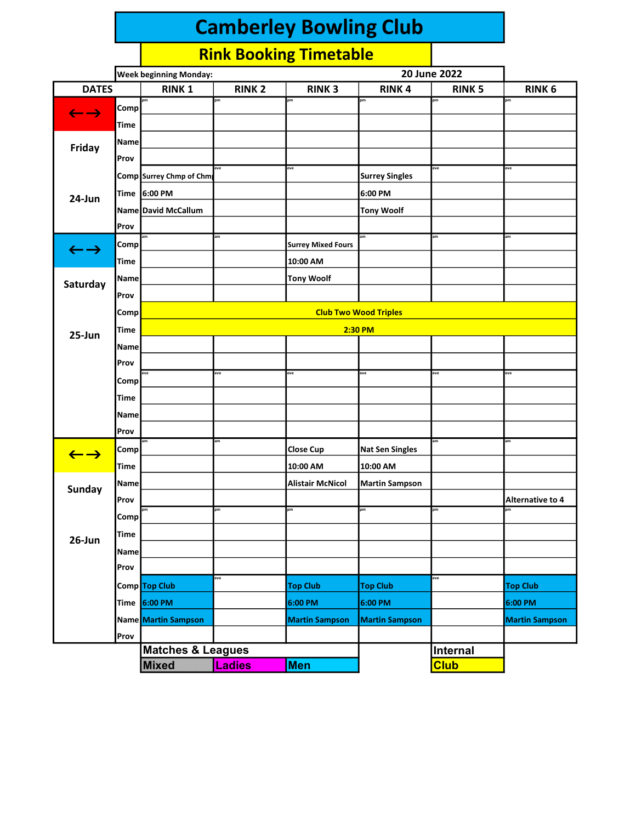|                            |             | <b>Week beginning Monday:</b> |               |                           | 20 June 2022           |               |                        |  |  |  |
|----------------------------|-------------|-------------------------------|---------------|---------------------------|------------------------|---------------|------------------------|--|--|--|
| <b>DATES</b>               |             | <b>RINK1</b>                  | <b>RINK 2</b> | <b>RINK3</b>              | <b>RINK4</b>           | <b>RINK 5</b> | <b>RINK 6</b>          |  |  |  |
| $\leftarrow$ $\rightarrow$ | Comp        | pm                            | pm            | pm                        | pm                     | pm            | pm                     |  |  |  |
|                            | Time        |                               |               |                           |                        |               |                        |  |  |  |
|                            | <b>Name</b> |                               |               |                           |                        |               |                        |  |  |  |
| Friday                     | Prov        |                               |               |                           |                        |               |                        |  |  |  |
|                            |             | Comp Surrey Chmp of Chm       | eve           | eve                       | <b>Surrey Singles</b>  | eve           | eve                    |  |  |  |
| 24-Jun                     | <b>Time</b> | 6:00 PM                       |               |                           | 6:00 PM                |               |                        |  |  |  |
|                            |             | Name David McCallum           |               |                           | <b>Tony Woolf</b>      |               |                        |  |  |  |
|                            | Prov        |                               |               |                           |                        |               |                        |  |  |  |
|                            | Comp        |                               | am            | <b>Surrey Mixed Fours</b> | am                     | am            | am                     |  |  |  |
| $\leftarrow$ $\rightarrow$ | <b>Time</b> |                               |               | 10:00 AM                  |                        |               |                        |  |  |  |
|                            | Name        |                               |               | <b>Tony Woolf</b>         |                        |               |                        |  |  |  |
| Saturday                   | Prov        |                               |               |                           |                        |               |                        |  |  |  |
|                            |             |                               |               |                           |                        |               |                        |  |  |  |
|                            | Comp        | <b>Club Two Wood Triples</b>  |               |                           |                        |               |                        |  |  |  |
| 25-Jun                     | <b>Time</b> |                               |               |                           | 2:30 PM                |               |                        |  |  |  |
|                            | <b>Name</b> |                               |               |                           |                        |               |                        |  |  |  |
|                            | Prov        | eve                           | eve           | eve                       | eve                    | eve           | eve                    |  |  |  |
|                            | Comp        |                               |               |                           |                        |               |                        |  |  |  |
|                            | Time        |                               |               |                           |                        |               |                        |  |  |  |
|                            | Name        |                               |               |                           |                        |               |                        |  |  |  |
|                            | Prov        |                               | am            |                           |                        | am            | am                     |  |  |  |
| $\leftarrow$ $\rightarrow$ | Comp        |                               |               | <b>Close Cup</b>          | <b>Nat Sen Singles</b> |               |                        |  |  |  |
|                            | Time        |                               |               | 10:00 AM                  | 10:00 AM               |               |                        |  |  |  |
| <b>Sunday</b>              | <b>Name</b> |                               |               | <b>Alistair McNicol</b>   | <b>Martin Sampson</b>  |               |                        |  |  |  |
|                            | Prov        | pm                            | pm            | pm                        | pm                     | pm            | Alternative to 4<br>pm |  |  |  |
|                            | Comp        |                               |               |                           |                        |               |                        |  |  |  |
| $26$ -Jun                  | <b>Time</b> |                               |               |                           |                        |               |                        |  |  |  |
|                            | Name        |                               |               |                           |                        |               |                        |  |  |  |
|                            | Prov        |                               |               |                           |                        |               |                        |  |  |  |
|                            |             | Comp Top Club                 | eve           | <b>Top Club</b>           | <b>Top Club</b>        | eve           | <b>Top Club</b>        |  |  |  |
|                            | <b>Time</b> | 6:00 PM                       |               | 6:00 PM                   | 6:00 PM                |               | 6:00 PM                |  |  |  |
|                            |             | Name Martin Sampson           |               | <b>Martin Sampson</b>     | <b>Martin Sampson</b>  |               | <b>Martin Sampson</b>  |  |  |  |
|                            | Prov        |                               |               |                           |                        |               |                        |  |  |  |
|                            |             | <b>Matches &amp; Leagues</b>  |               |                           |                        | Internal      |                        |  |  |  |
|                            |             | <b>Mixed</b>                  | <b>Ladies</b> | <b>Men</b>                |                        | <b>Club</b>   |                        |  |  |  |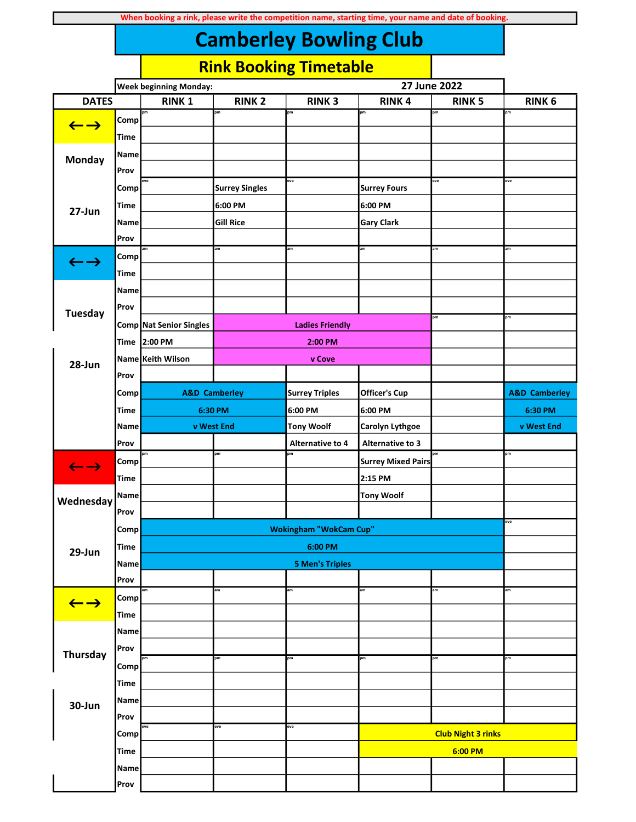|                            |             | <b>Week beginning Monday:</b> |                       |                               | 27 June 2022              |                           |                          |
|----------------------------|-------------|-------------------------------|-----------------------|-------------------------------|---------------------------|---------------------------|--------------------------|
| <b>DATES</b>               |             | <b>RINK1</b>                  | <b>RINK 2</b>         | <b>RINK3</b>                  | <b>RINK4</b>              | <b>RINK 5</b>             | <b>RINK 6</b>            |
|                            | Comp        | pm                            | pm                    | pm                            | pm                        | pm                        | pm                       |
| $\leftarrow$ $\rightarrow$ | Time        |                               |                       |                               |                           |                           |                          |
|                            | Name        |                               |                       |                               |                           |                           |                          |
| Monday                     | Prov        |                               |                       |                               |                           |                           |                          |
|                            | Comp        | eve                           | <b>Surrey Singles</b> | eve                           | <b>Surrey Fours</b>       | eve                       | eve                      |
|                            | Time        |                               | 6:00 PM               |                               | 6:00 PM                   |                           |                          |
| 27-Jun                     | Name        |                               | <b>Gill Rice</b>      |                               | <b>Gary Clark</b>         |                           |                          |
|                            | Prov        |                               |                       |                               |                           |                           |                          |
|                            | Comp        |                               | am                    | am                            | am                        | am                        | am                       |
| $\leftarrow$ $\rightarrow$ | Time        |                               |                       |                               |                           |                           |                          |
|                            | Name        |                               |                       |                               |                           |                           |                          |
|                            | Prov        |                               |                       |                               |                           |                           |                          |
| <b>Tuesday</b>             |             |                               |                       |                               |                           | pm                        | pm                       |
|                            |             | Comp Nat Senior Singles       |                       | <b>Ladies Friendly</b>        |                           |                           |                          |
|                            |             | Time 2:00 PM                  |                       | 2:00 PM                       |                           |                           |                          |
| 28-Jun                     | Prov        | Name Keith Wilson             |                       | v Cove                        |                           |                           |                          |
|                            |             | <b>A&amp;D Camberley</b>      |                       |                               |                           |                           |                          |
|                            | Comp        |                               |                       | <b>Surrey Triples</b>         | <b>Officer's Cup</b>      |                           | <b>A&amp;D Camberley</b> |
|                            |             | <b>Time</b><br>6:30 PM        |                       | 6:00 PM                       | 6:00 PM                   |                           | 6:30 PM                  |
|                            | Name        | v West End                    |                       | <b>Tony Woolf</b>             | Carolyn Lythgoe           |                           | v West End               |
|                            | Prov        |                               | pm                    | <b>Alternative to 4</b><br>pm | Alternative to 3          | pm                        | pm                       |
| $\leftarrow$ $\rightarrow$ | Comp        |                               |                       |                               | <b>Surrey Mixed Pairs</b> |                           |                          |
|                            | <b>Time</b> |                               |                       |                               | 2:15 PM                   |                           |                          |
| Wednesday                  | Name        |                               |                       |                               | <b>Tony Woolf</b>         |                           |                          |
|                            | Prov        |                               |                       | <b>Wokingham "WokCam Cup"</b> |                           |                           | eve                      |
|                            | Comp        |                               |                       |                               |                           |                           |                          |
| 29-Jun                     | <b>Time</b> |                               |                       | 6:00 PM                       |                           |                           |                          |
|                            | <b>Name</b> |                               |                       | <b>5 Men's Triples</b>        |                           |                           |                          |
|                            | Prov        |                               | am                    | am                            | am                        | am                        | am                       |
| $\leftarrow$ $\rightarrow$ | Comp        |                               |                       |                               |                           |                           |                          |
|                            | <b>Time</b> |                               |                       |                               |                           |                           |                          |
|                            | <b>Name</b> |                               |                       |                               |                           |                           |                          |
| <b>Thursday</b>            | Prov        |                               | pm                    | pm                            | pm                        | pm                        | pm                       |
|                            | Comp        |                               |                       |                               |                           |                           |                          |
|                            | <b>Time</b> |                               |                       |                               |                           |                           |                          |
| 30-Jun                     | Name        |                               |                       |                               |                           |                           |                          |
|                            | Prov        |                               |                       |                               |                           |                           |                          |
|                            | Comp        | eve                           | eve                   | eve                           |                           | <b>Club Night 3 rinks</b> |                          |
|                            | <b>Time</b> |                               |                       |                               |                           | 6:00 PM                   |                          |
|                            | Name        |                               |                       |                               |                           |                           |                          |
|                            | Prov        |                               |                       |                               |                           |                           |                          |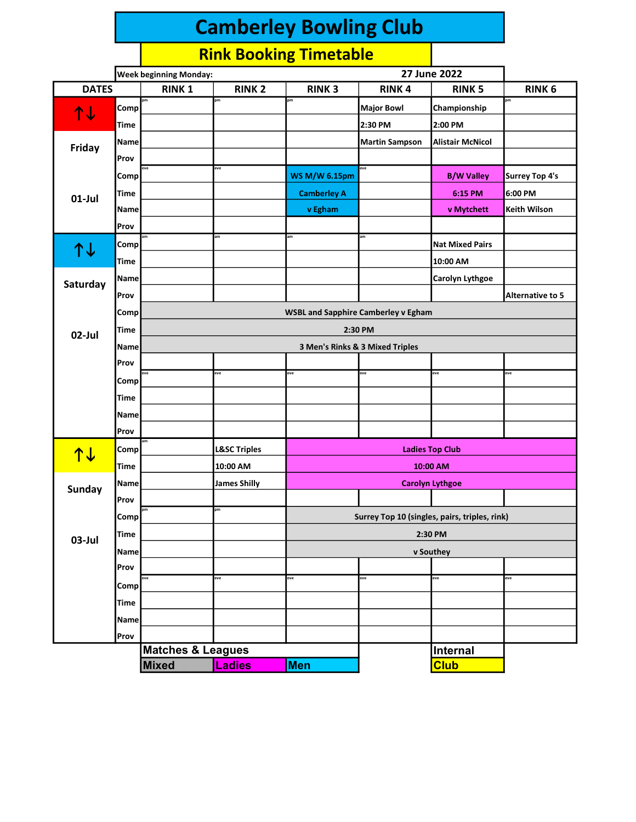|               |             | <b>Week beginning Monday:</b> |                         |                                            |                                               |                         |                       |  |  |  |
|---------------|-------------|-------------------------------|-------------------------|--------------------------------------------|-----------------------------------------------|-------------------------|-----------------------|--|--|--|
| <b>DATES</b>  |             | <b>RINK1</b>                  | <b>RINK 2</b>           | <b>RINK3</b>                               | <b>RINK4</b>                                  | <b>RINK 5</b>           | <b>RINK 6</b>         |  |  |  |
| ↑↓            | Comp        | pm                            | pm                      | pm                                         | <b>Major Bowl</b>                             | Championship            | pm                    |  |  |  |
|               | <b>Time</b> |                               |                         |                                            | 2:30 PM                                       | 2:00 PM                 |                       |  |  |  |
| Friday        | <b>Name</b> |                               |                         |                                            | <b>Martin Sampson</b>                         | <b>Alistair McNicol</b> |                       |  |  |  |
|               | Prov        |                               |                         |                                            |                                               |                         |                       |  |  |  |
|               | Comp        | eve                           | eve                     | <b>WS M/W 6.15pm</b>                       | eve                                           | <b>B/W Valley</b>       | <b>Surrey Top 4's</b> |  |  |  |
| $01$ -Jul     | <b>Time</b> |                               |                         | <b>Camberley A</b>                         |                                               | 6:15 PM                 | 6:00 PM               |  |  |  |
|               | Name        |                               |                         | v Egham                                    |                                               | v Mytchett              | Keith Wilson          |  |  |  |
|               | Prov        |                               |                         |                                            |                                               |                         |                       |  |  |  |
|               | Comp        |                               | am                      | am                                         | am                                            | <b>Nat Mixed Pairs</b>  |                       |  |  |  |
| ↑↓            | <b>Time</b> |                               |                         |                                            |                                               | 10:00 AM                |                       |  |  |  |
|               | Name        |                               |                         |                                            |                                               | <b>Carolyn Lythgoe</b>  |                       |  |  |  |
| Saturday      | Prov        |                               |                         |                                            |                                               |                         | Alternative to 5      |  |  |  |
|               | Comp        |                               |                         | <b>WSBL and Sapphire Camberley v Egham</b> |                                               |                         |                       |  |  |  |
|               | Time        |                               |                         |                                            | 2:30 PM                                       |                         |                       |  |  |  |
| 02-Jul        | Name        |                               |                         |                                            | 3 Men's Rinks & 3 Mixed Triples               |                         |                       |  |  |  |
|               | Prov        |                               |                         |                                            |                                               |                         |                       |  |  |  |
|               | Comp        | eve                           | eve                     | eve                                        | eve                                           | eve                     | eve                   |  |  |  |
|               | <b>Time</b> |                               |                         |                                            |                                               |                         |                       |  |  |  |
|               | Name        |                               |                         |                                            |                                               |                         |                       |  |  |  |
|               | Prov        |                               |                         |                                            |                                               |                         |                       |  |  |  |
|               | Comp        | am                            | <b>L&amp;SC Triples</b> | <b>Ladies Top Club</b>                     |                                               |                         |                       |  |  |  |
| <u> ተተ</u>    | <b>Time</b> |                               | 10:00 AM                |                                            |                                               | 10:00 AM                |                       |  |  |  |
|               | Name        |                               | <b>James Shilly</b>     |                                            |                                               | <b>Carolyn Lythgoe</b>  |                       |  |  |  |
| <b>Sunday</b> | Prov        |                               |                         |                                            |                                               |                         |                       |  |  |  |
|               | Comp        |                               | pm                      |                                            | Surrey Top 10 (singles, pairs, triples, rink) |                         |                       |  |  |  |
|               | Time        |                               |                         |                                            |                                               | 2:30 PM                 |                       |  |  |  |
| 03-Jul        | <b>Name</b> |                               |                         |                                            |                                               | v Southey               |                       |  |  |  |
|               | Prov        |                               |                         |                                            |                                               |                         |                       |  |  |  |
|               | Comp        | eve                           | eve                     | eve                                        | eve                                           | eve                     | eve                   |  |  |  |
|               | <b>Time</b> |                               |                         |                                            |                                               |                         |                       |  |  |  |
|               | <b>Name</b> |                               |                         |                                            |                                               |                         |                       |  |  |  |
|               | Prov        |                               |                         |                                            |                                               |                         |                       |  |  |  |
|               |             | <b>Matches &amp; Leagues</b>  |                         |                                            |                                               | Internal                |                       |  |  |  |
|               |             | <b>Mixed</b>                  | <b>Ladies</b>           | <b>Men</b>                                 |                                               | <b>Club</b>             |                       |  |  |  |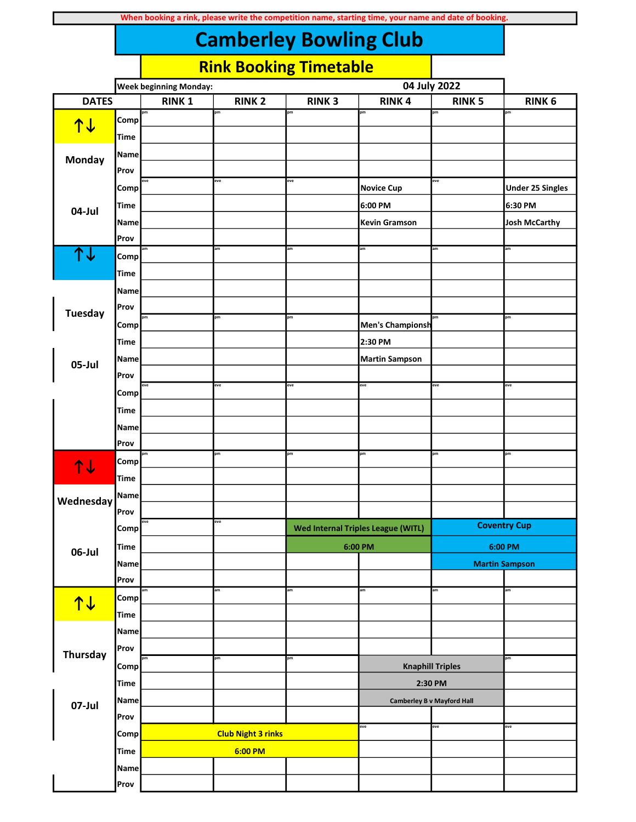|                |                     | <b>Week beginning Monday:</b> |                           |              | 04 July 2022                              |                                   |                         |  |
|----------------|---------------------|-------------------------------|---------------------------|--------------|-------------------------------------------|-----------------------------------|-------------------------|--|
| <b>DATES</b>   |                     | <b>RINK1</b>                  | <b>RINK 2</b>             | <b>RINK3</b> | <b>RINK4</b>                              | <b>RINK 5</b>                     | <b>RINK 6</b>           |  |
|                | Comp                | pm                            | pm                        | þm           | pm                                        | pm                                | pm                      |  |
| <u>↑↓</u>      | Time                |                               |                           |              |                                           |                                   |                         |  |
|                | Name                |                               |                           |              |                                           |                                   |                         |  |
| Monday         | Prov                |                               |                           |              |                                           |                                   |                         |  |
|                | Comp                | eve                           | eve                       | eve          | <b>Novice Cup</b>                         | eve                               | <b>Under 25 Singles</b> |  |
|                | <b>Time</b>         |                               |                           |              | 6:00 PM                                   |                                   | 6:30 PM                 |  |
| 04-Jul         | Name                |                               |                           |              | <b>Kevin Gramson</b>                      |                                   | <b>Josh McCarthy</b>    |  |
|                | Prov                |                               |                           |              |                                           |                                   |                         |  |
| ↑↓             | Comp                | am                            | am                        | am           | am                                        | am                                | am                      |  |
|                | <b>Time</b>         |                               |                           |              |                                           |                                   |                         |  |
|                | Name                |                               |                           |              |                                           |                                   |                         |  |
|                | Prov                |                               |                           |              |                                           |                                   |                         |  |
| <b>Tuesday</b> | <b>Comp</b>         | pm                            | pm                        | pm           | Men's Championsh                          | pm                                | pm                      |  |
|                | <b>Time</b>         |                               |                           |              | 2:30 PM                                   |                                   |                         |  |
|                | Name                |                               |                           |              | <b>Martin Sampson</b>                     |                                   |                         |  |
| 05-Jul         | Prov                |                               |                           |              |                                           |                                   |                         |  |
|                |                     | eve                           | eve                       | eve          | eve                                       | eve                               | eve                     |  |
|                | Comp<br><b>Time</b> |                               |                           |              |                                           |                                   |                         |  |
|                |                     |                               |                           |              |                                           |                                   |                         |  |
|                | Name<br>Prov        |                               |                           |              |                                           |                                   |                         |  |
|                |                     | pm                            | pm                        | pm           | pm                                        | pm                                | pm                      |  |
| 14             | Comp                |                               |                           |              |                                           |                                   |                         |  |
|                | <b>Time</b>         |                               |                           |              |                                           |                                   |                         |  |
| Wednesday      | <b>Name</b><br>Prov |                               |                           |              |                                           |                                   |                         |  |
|                |                     | eve                           | eve                       |              | <b>Wed Internal Triples League (WITL)</b> |                                   | <b>Coventry Cup</b>     |  |
|                | Comp                |                               |                           |              |                                           |                                   |                         |  |
| 06-Jul         | Time                |                               |                           |              | 6:00 PM                                   |                                   | 6:00 PM                 |  |
|                | Name                |                               |                           |              |                                           |                                   | <b>Martin Sampson</b>   |  |
|                | Prov                | am                            | am                        | am           | am                                        | am                                | am                      |  |
| <b>14</b>      | Comp                |                               |                           |              |                                           |                                   |                         |  |
|                | Time                |                               |                           |              |                                           |                                   |                         |  |
|                | <b>Name</b>         |                               |                           |              |                                           |                                   |                         |  |
| Thursday       | Prov                |                               | pm                        | pm           |                                           |                                   | pm                      |  |
|                | Comp                |                               |                           |              |                                           | <b>Knaphill Triples</b>           |                         |  |
|                | Time                |                               |                           |              | 2:30 PM                                   |                                   |                         |  |
| 07-Jul         | Name                |                               |                           |              |                                           | <b>Camberley B v Mayford Hall</b> |                         |  |
|                | Prov                |                               |                           |              | eve                                       | eve                               | eve                     |  |
|                | Comp                |                               | <b>Club Night 3 rinks</b> |              |                                           |                                   |                         |  |
|                | <b>Time</b>         |                               | 6:00 PM                   |              |                                           |                                   |                         |  |
|                | <b>Name</b>         |                               |                           |              |                                           |                                   |                         |  |
|                | Prov                |                               |                           |              |                                           |                                   |                         |  |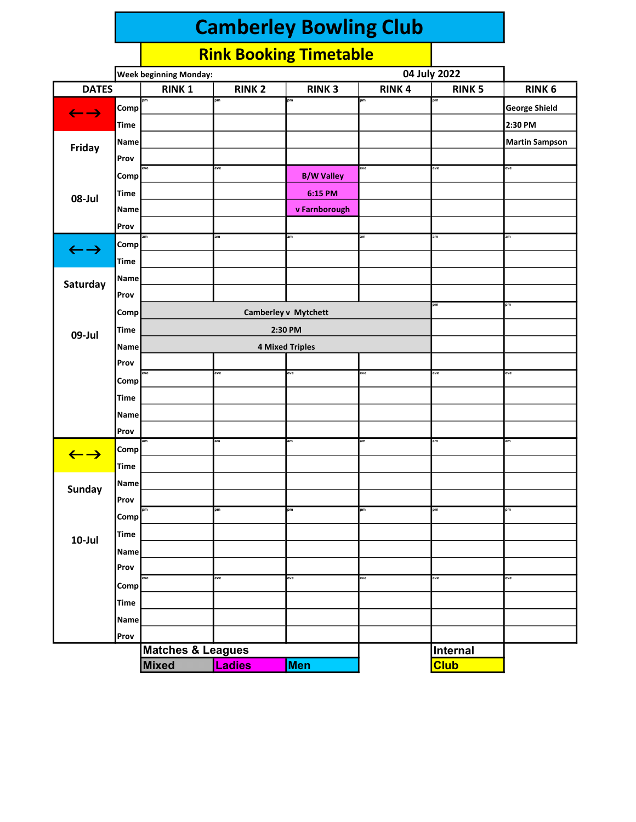|                            |             | 04 July 2022<br><b>Week beginning Monday:</b> |               |                        |              |                         |                       |
|----------------------------|-------------|-----------------------------------------------|---------------|------------------------|--------------|-------------------------|-----------------------|
| <b>DATES</b>               |             | <b>RINK1</b>                                  | <b>RINK 2</b> | <b>RINK3</b>           | <b>RINK4</b> | <b>RINK 5</b>           | <b>RINK 6</b>         |
| $\leftarrow$ $\rightarrow$ | Comp        | pm                                            | pm            | pm                     | pm           | pm                      | <b>George Shield</b>  |
|                            | <b>Time</b> |                                               |               |                        |              |                         | 2:30 PM               |
|                            | Name        |                                               |               |                        |              |                         | <b>Martin Sampson</b> |
| Friday                     | Prov        |                                               |               |                        |              |                         |                       |
|                            | Comp        | eve                                           | eve           | <b>B/W Valley</b>      | eve          | eve                     | eve                   |
|                            | <b>Time</b> |                                               |               | 6:15 PM                |              |                         |                       |
| 08-Jul                     | Name        |                                               |               | v Farnborough          |              |                         |                       |
|                            | Prov        |                                               |               |                        |              |                         |                       |
|                            | Comp        | am                                            | am            | am                     | am           | am                      | am                    |
| $\leftarrow$ $\rightarrow$ | <b>Time</b> |                                               |               |                        |              |                         |                       |
|                            | Name        |                                               |               |                        |              |                         |                       |
| Saturday                   | Prov        |                                               |               |                        |              |                         |                       |
|                            | <b>Comp</b> |                                               |               | Camberley v Mytchett   |              | pm                      | pm                    |
|                            | <b>Time</b> |                                               | 2:30 PM       |                        |              |                         |                       |
| 09-Jul                     | Name        |                                               |               | <b>4 Mixed Triples</b> |              |                         |                       |
|                            | Prov        |                                               |               |                        |              |                         |                       |
|                            | Comp        | eve                                           | eve           | eve                    | eve          | eve                     | eve                   |
|                            | <b>Time</b> |                                               |               |                        |              |                         |                       |
|                            | Name        |                                               |               |                        |              |                         |                       |
|                            | Prov        |                                               |               |                        |              |                         |                       |
|                            | Comp        | am                                            | am            | am                     | am           | am                      | am                    |
| $\leftarrow$ $\rightarrow$ |             |                                               |               |                        |              |                         |                       |
|                            | <b>Time</b> |                                               |               |                        |              |                         |                       |
| Sunday                     | Name        |                                               |               |                        |              |                         |                       |
|                            | Prov        | pm                                            | pm            | pm                     | pm           | pm                      | pm                    |
|                            | Comp        |                                               |               |                        |              |                         |                       |
| $10$ -Jul                  | <b>Time</b> |                                               |               |                        |              |                         |                       |
|                            | Name        |                                               |               |                        |              |                         |                       |
|                            | Prov        | eve                                           | eve           | eve                    | eve          | eve                     | eve                   |
|                            | Comp        |                                               |               |                        |              |                         |                       |
|                            | <b>Time</b> |                                               |               |                        |              |                         |                       |
|                            | Name        |                                               |               |                        |              |                         |                       |
|                            | Prov        | <b>Matches &amp; Leagues</b>                  |               |                        |              |                         |                       |
|                            |             | <b>Mixed</b>                                  | Ladies        | Men                    |              | Internal<br><b>Club</b> |                       |
|                            |             |                                               |               |                        |              |                         |                       |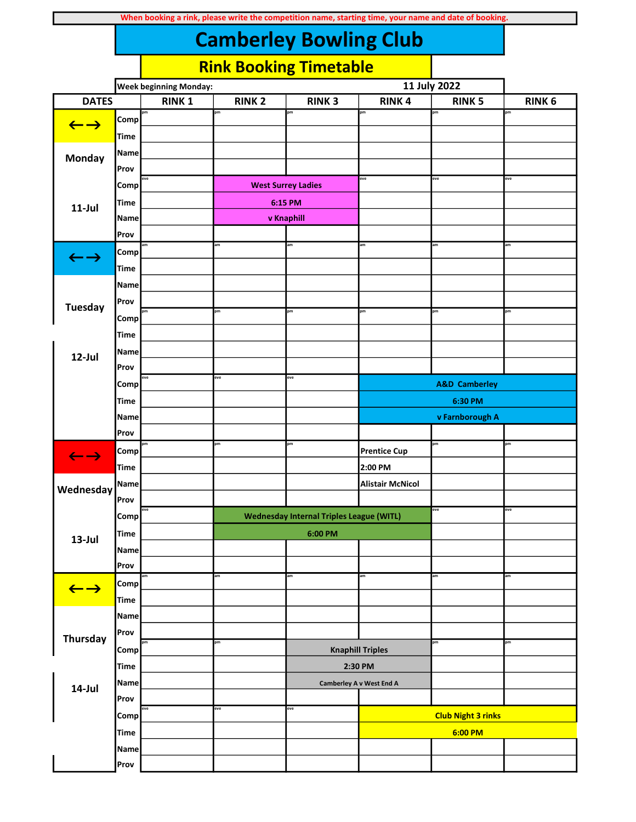| When booking a rink, please write the competition name, starting time, your name and date of booking. |  |
|-------------------------------------------------------------------------------------------------------|--|
|-------------------------------------------------------------------------------------------------------|--|

|                            |             | <b>Week beginning Monday:</b> |               |                                                 |                          |                           |               |
|----------------------------|-------------|-------------------------------|---------------|-------------------------------------------------|--------------------------|---------------------------|---------------|
| <b>DATES</b>               |             | <b>RINK1</b>                  | <b>RINK 2</b> | <b>RINK3</b>                                    | <b>RINK4</b>             | <b>RINK 5</b>             | <b>RINK 6</b> |
|                            | Comp        | pm                            | pm            | pm                                              | pm                       | pm                        | pm            |
| $\leftarrow$ $\rightarrow$ | Time        |                               |               |                                                 |                          |                           |               |
|                            | Name        |                               |               |                                                 |                          |                           |               |
| Monday                     | Prov        |                               |               |                                                 |                          |                           |               |
|                            |             | eve                           |               |                                                 | eve                      | eve                       | eve           |
|                            | Comp        |                               |               | <b>West Surrey Ladies</b>                       |                          |                           |               |
| $11$ -Jul                  | <b>Time</b> |                               |               | 6:15 PM                                         |                          |                           |               |
|                            | Name        |                               |               | v Knaphill                                      |                          |                           |               |
|                            | Prov        |                               | am            | am                                              | am                       | am                        | am            |
| $\leftarrow$ $\rightarrow$ | Comp        |                               |               |                                                 |                          |                           |               |
|                            | <b>Time</b> |                               |               |                                                 |                          |                           |               |
|                            | Name        |                               |               |                                                 |                          |                           |               |
| <b>Tuesday</b>             | Prov        |                               |               |                                                 |                          |                           |               |
|                            | Comp        | pm                            | pm            | pm                                              | pm                       | pm                        | pm            |
|                            | <b>Time</b> |                               |               |                                                 |                          |                           |               |
| 12-Jul                     | Name        |                               |               |                                                 |                          |                           |               |
|                            | Prov        |                               |               |                                                 |                          |                           |               |
|                            | Comp        | eve                           | eve           | eve                                             |                          | <b>A&amp;D Camberley</b>  |               |
|                            | Time        |                               |               |                                                 |                          | 6:30 PM                   |               |
|                            | Name        |                               |               |                                                 |                          | v Farnborough A           |               |
|                            | Prov        |                               |               |                                                 |                          |                           |               |
|                            | Comp        | pm                            | pm            | pm                                              | <b>Prentice Cup</b>      | pm                        | pm            |
| $\leftarrow$ $\rightarrow$ | Time        |                               |               |                                                 | 2:00 PM                  |                           |               |
|                            | Name        |                               |               |                                                 | <b>Alistair McNicol</b>  |                           |               |
| Wednesday                  | Prov        |                               |               |                                                 |                          |                           |               |
|                            | Comp        | eve                           |               | <b>Wednesday Internal Triples League (WITL)</b> |                          | eve                       | eve           |
|                            |             |                               |               |                                                 |                          |                           |               |
| $13$ -Jul                  | <b>Time</b> |                               |               | 6:00 PM                                         |                          |                           |               |
|                            | <b>Name</b> |                               |               |                                                 |                          |                           |               |
|                            | Prov        | am                            | am            | am                                              | am                       | am                        | am            |
| $\leftarrow$ $\rightarrow$ | Comp        |                               |               |                                                 |                          |                           |               |
|                            | <b>Time</b> |                               |               |                                                 |                          |                           |               |
|                            | <b>Name</b> |                               |               |                                                 |                          |                           |               |
| Thursday                   | Prov        | pm                            | pm            |                                                 |                          | pm                        | pm            |
|                            | Comp        |                               |               |                                                 | <b>Knaphill Triples</b>  |                           |               |
|                            | <b>Time</b> |                               |               |                                                 | 2:30 PM                  |                           |               |
| 14-Jul                     | Name        |                               |               |                                                 | Camberley A v West End A |                           |               |
|                            | Prov        |                               |               |                                                 |                          |                           |               |
|                            | Comp        | eve                           | eve           | eve                                             |                          | <b>Club Night 3 rinks</b> |               |
|                            | <b>Time</b> |                               |               |                                                 |                          | 6:00 PM                   |               |
|                            | Name        |                               |               |                                                 |                          |                           |               |
|                            | Prov        |                               |               |                                                 |                          |                           |               |
|                            |             |                               |               |                                                 |                          |                           |               |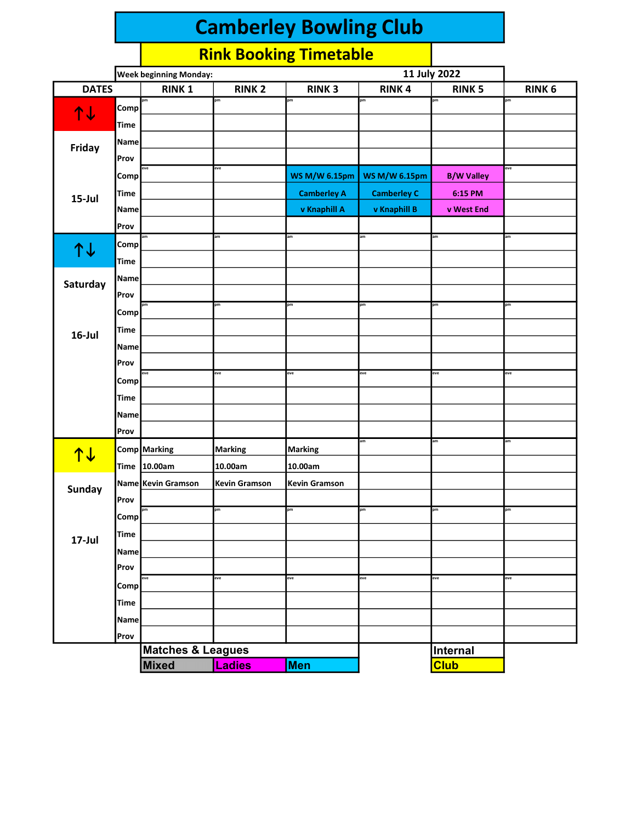|              |             | 11 July 2022<br><b>Week beginning Monday:</b> |                      |                      |                      |                   |               |
|--------------|-------------|-----------------------------------------------|----------------------|----------------------|----------------------|-------------------|---------------|
| <b>DATES</b> |             | <b>RINK1</b>                                  | <b>RINK 2</b>        | <b>RINK3</b>         | <b>RINK4</b>         | <b>RINK 5</b>     | <b>RINK 6</b> |
| ↑↓           | Comp        | pm                                            | pm                   | pm                   | pm                   | pm                | pm            |
|              | <b>Time</b> |                                               |                      |                      |                      |                   |               |
|              | Name        |                                               |                      |                      |                      |                   |               |
| Friday       | Prov        |                                               |                      |                      |                      |                   |               |
|              | Comp        | eve                                           | eve                  | <b>WS M/W 6.15pm</b> | <b>WS M/W 6.15pm</b> | <b>B/W Valley</b> | eve           |
|              | <b>Time</b> |                                               |                      | <b>Camberley A</b>   | <b>Camberley C</b>   | 6:15 PM           |               |
| $15$ -Jul    | Name        |                                               |                      | v Knaphill A         | v Knaphill B         | v West End        |               |
|              | Prov        |                                               |                      |                      |                      |                   |               |
|              | Comp        | am                                            | am                   | am                   | am                   | am                | am            |
| 1↓           | <b>Time</b> |                                               |                      |                      |                      |                   |               |
|              | <b>Name</b> |                                               |                      |                      |                      |                   |               |
| Saturday     | Prov        |                                               |                      |                      |                      |                   |               |
|              | Comp        | pm                                            | pm                   | pm                   | pm                   | pm                | pm            |
| $16$ -Jul    | <b>Time</b> |                                               |                      |                      |                      |                   |               |
|              | Name        |                                               |                      |                      |                      |                   |               |
|              | Prov        |                                               |                      |                      |                      |                   |               |
|              | Comp        | eve                                           | eve                  | eve                  | eve                  | eve               | eve           |
|              | <b>Time</b> |                                               |                      |                      |                      |                   |               |
|              | Name        |                                               |                      |                      |                      |                   |               |
|              | Prov        |                                               |                      |                      |                      |                   |               |
|              |             | Comp Marking                                  | <b>Marking</b>       | Marking              | am                   | am                | am            |
| <b>14</b>    | <b>Time</b> | 10.00am                                       | 10.00am              | 10.00am              |                      |                   |               |
|              |             | Name Kevin Gramson                            | <b>Kevin Gramson</b> | <b>Kevin Gramson</b> |                      |                   |               |
| Sunday       | Prov        |                                               |                      |                      |                      |                   |               |
|              | Comp        | pm                                            | pm                   | pm                   | pm                   | pm                | pm            |
|              | Time        |                                               |                      |                      |                      |                   |               |
| 17-Jul       | Name        |                                               |                      |                      |                      |                   |               |
|              | Prov        |                                               |                      |                      |                      |                   |               |
|              | Comp        | eve                                           | eve                  | eve                  | eve                  | eve               | eve           |
|              | <b>Time</b> |                                               |                      |                      |                      |                   |               |
|              | Name        |                                               |                      |                      |                      |                   |               |
|              | Prov        |                                               |                      |                      |                      |                   |               |
|              |             | <b>Matches &amp; Leagues</b>                  |                      |                      |                      | Internal          |               |
|              |             | <b>Mixed</b>                                  | Ladies               | Men                  |                      | <b>Club</b>       |               |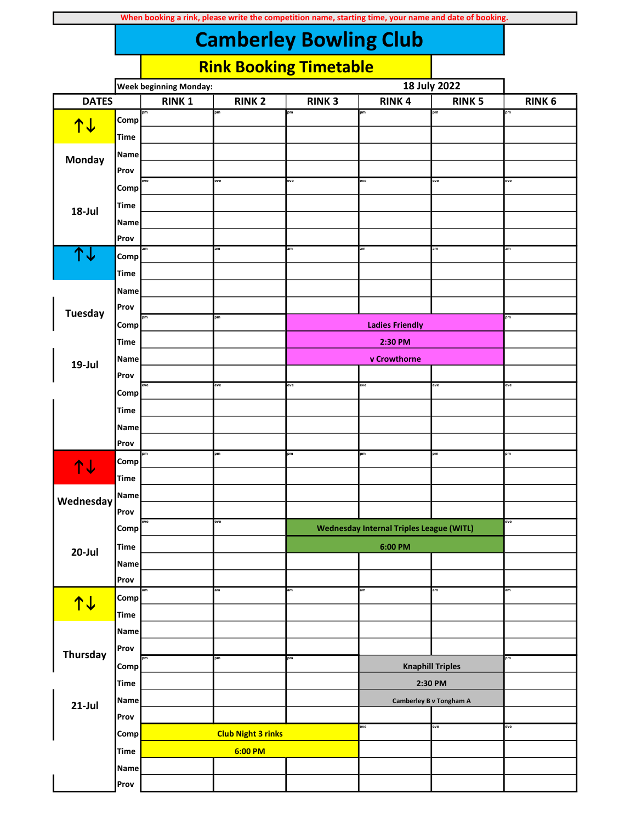| When booking a rink, please write the competition name, starting time, your name and date of booking. |  |
|-------------------------------------------------------------------------------------------------------|--|
|-------------------------------------------------------------------------------------------------------|--|

|                 |              | <b>Week beginning Monday:</b> |                           |              | 18 July 2022                                    |                         |               |
|-----------------|--------------|-------------------------------|---------------------------|--------------|-------------------------------------------------|-------------------------|---------------|
| <b>DATES</b>    |              | <b>RINK1</b>                  | <b>RINK 2</b>             | <b>RINK3</b> | <b>RINK4</b>                                    | <b>RINK 5</b>           | <b>RINK 6</b> |
|                 | <b>Comp</b>  | pm                            | pm                        | pm           | pm                                              | pm                      | pm            |
| <u>↑↓</u>       | <b>Time</b>  |                               |                           |              |                                                 |                         |               |
|                 | Name         |                               |                           |              |                                                 |                         |               |
| Monday          | Prov         |                               |                           |              |                                                 |                         |               |
|                 | Comp         | eve                           | eve                       | eve          | eve                                             | eve                     | eve           |
|                 | <b>Time</b>  |                               |                           |              |                                                 |                         |               |
| 18-Jul          | Name         |                               |                           |              |                                                 |                         |               |
|                 | Prov         |                               |                           |              |                                                 |                         |               |
| 个人              | Comp         | am                            | am                        | am           | am                                              | am                      | am            |
|                 | <b>Time</b>  |                               |                           |              |                                                 |                         |               |
|                 |              |                               |                           |              |                                                 |                         |               |
|                 | Name<br>Prov |                               |                           |              |                                                 |                         |               |
| <b>Tuesday</b>  |              | pm                            | pm                        |              |                                                 |                         | pm            |
|                 | Comp         |                               |                           |              | <b>Ladies Friendly</b>                          |                         |               |
|                 | Time         |                               |                           |              | 2:30 PM                                         |                         |               |
| 19-Jul          | Name         |                               |                           |              | v Crowthorne                                    |                         |               |
|                 | Prov         | eve                           | eve                       | eve          | eve                                             | eve                     | eve           |
|                 | Comp         |                               |                           |              |                                                 |                         |               |
|                 | <b>Time</b>  |                               |                           |              |                                                 |                         |               |
|                 | Name         |                               |                           |              |                                                 |                         |               |
|                 | Prov         | pm                            | pm                        | pm           | pm                                              | pm                      | pm            |
| <b>14</b>       | Comp         |                               |                           |              |                                                 |                         |               |
|                 | <b>Time</b>  |                               |                           |              |                                                 |                         |               |
| Wednesday       | <b>Name</b>  |                               |                           |              |                                                 |                         |               |
|                 | Prov         | eve                           | eve                       |              |                                                 |                         | eve           |
|                 | Comp         |                               |                           |              | <b>Wednesday Internal Triples League (WITL)</b> |                         |               |
| $20$ -Jul       | Time         |                               |                           |              | $6:00$ PM                                       |                         |               |
|                 | Name         |                               |                           |              |                                                 |                         |               |
|                 | Prov         |                               |                           |              |                                                 |                         |               |
| <b>14</b>       | <b>Comp</b>  | am                            | am                        | am           | am                                              | am                      | am            |
|                 | <b>Time</b>  |                               |                           |              |                                                 |                         |               |
|                 | Name         |                               |                           |              |                                                 |                         |               |
| <b>Thursday</b> | Prov         |                               |                           |              |                                                 |                         |               |
|                 | Comp         | pm                            | pm                        | pm           |                                                 | <b>Knaphill Triples</b> | pm            |
|                 | <b>Time</b>  |                               |                           |              |                                                 | 2:30 PM                 |               |
| $21$ -Jul       | Name         |                               |                           |              |                                                 | Camberley B v Tongham A |               |
|                 | Prov         |                               |                           |              |                                                 |                         |               |
|                 | Comp         |                               | <b>Club Night 3 rinks</b> |              | eve                                             | eve                     | eve           |
|                 | <b>Time</b>  |                               | 6:00 PM                   |              |                                                 |                         |               |
|                 | Name         |                               |                           |              |                                                 |                         |               |
|                 | Prov         |                               |                           |              |                                                 |                         |               |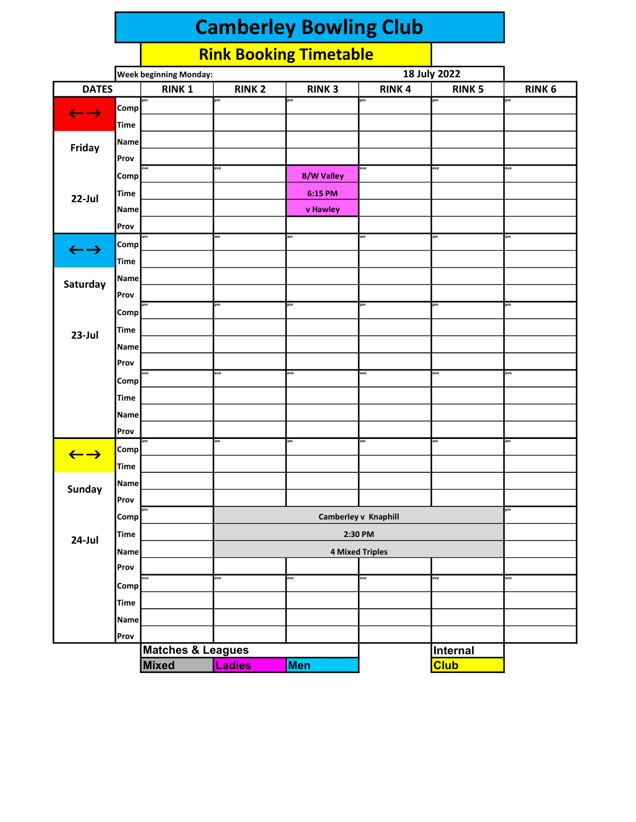|                            |                     | 18 July 2022<br><b>Week beginning Monday:</b> |               |                   |                        |               |               |
|----------------------------|---------------------|-----------------------------------------------|---------------|-------------------|------------------------|---------------|---------------|
| <b>DATES</b>               |                     | <b>RINK1</b>                                  | <b>RINK 2</b> | <b>RINK3</b>      | <b>RINK4</b>           | <b>RINK 5</b> | <b>RINK 6</b> |
| $\leftarrow$ $\rightarrow$ | Comp                | pm                                            | pm            | pm                | pm                     | pm            | pm            |
|                            | <b>Time</b>         |                                               |               |                   |                        |               |               |
|                            | Name                |                                               |               |                   |                        |               |               |
| Friday                     | Prov                |                                               |               |                   |                        |               |               |
|                            | Comp                | eve                                           | eve           | <b>B/W Valley</b> | eve                    | eve           | eve           |
|                            | <b>Time</b>         |                                               |               | 6:15 PM           |                        |               |               |
| 22-Jul                     | Name                |                                               |               | v Hawley          |                        |               |               |
|                            | Prov                |                                               |               |                   |                        |               |               |
|                            | Comp                | am                                            | am            | am                | am                     | am            | am            |
| $\leftarrow$ $\rightarrow$ | <b>Time</b>         |                                               |               |                   |                        |               |               |
|                            | Name                |                                               |               |                   |                        |               |               |
| Saturday                   | Prov                |                                               |               |                   |                        |               |               |
|                            | Comp                | pm                                            | pm            | pm                | pm                     | pm            | pm            |
|                            | <b>Time</b>         |                                               |               |                   |                        |               |               |
| $23$ -Jul                  |                     |                                               |               |                   |                        |               |               |
|                            | <b>Name</b><br>Prov |                                               |               |                   |                        |               |               |
|                            |                     | eve                                           | eve           | eve               | eve                    | eve           | eve           |
|                            | Comp                |                                               |               |                   |                        |               |               |
|                            | <b>Time</b>         |                                               |               |                   |                        |               |               |
|                            | Name                |                                               |               |                   |                        |               |               |
|                            | Prov                | am                                            | am            | am                | am                     | am            | am            |
| $\leftarrow$ $\rightarrow$ | Comp                |                                               |               |                   |                        |               |               |
|                            | <b>Time</b>         |                                               |               |                   |                        |               |               |
| Sunday                     | Name                |                                               |               |                   |                        |               |               |
|                            | Prov                | pm                                            |               |                   |                        |               | pm            |
|                            | Comp                |                                               |               |                   | Camberley v Knaphill   |               |               |
| 24-Jul                     | <b>Time</b>         |                                               |               |                   | 2:30 PM                |               |               |
|                            | <b>Name</b>         |                                               |               |                   | <b>4 Mixed Triples</b> |               |               |
|                            | Prov                |                                               |               |                   |                        |               |               |
|                            | Comp                | eve                                           | eve           | eve               | eve                    | eve           | eve           |
|                            | <b>Time</b>         |                                               |               |                   |                        |               |               |
|                            | Name                |                                               |               |                   |                        |               |               |
|                            | Prov                |                                               |               |                   |                        |               |               |
|                            |                     | Matches & Leagues                             |               |                   |                        | Internal      |               |
|                            |                     | <b>Mixed</b>                                  | Ladies        | <b>Men</b>        |                        | <b>Club</b>   |               |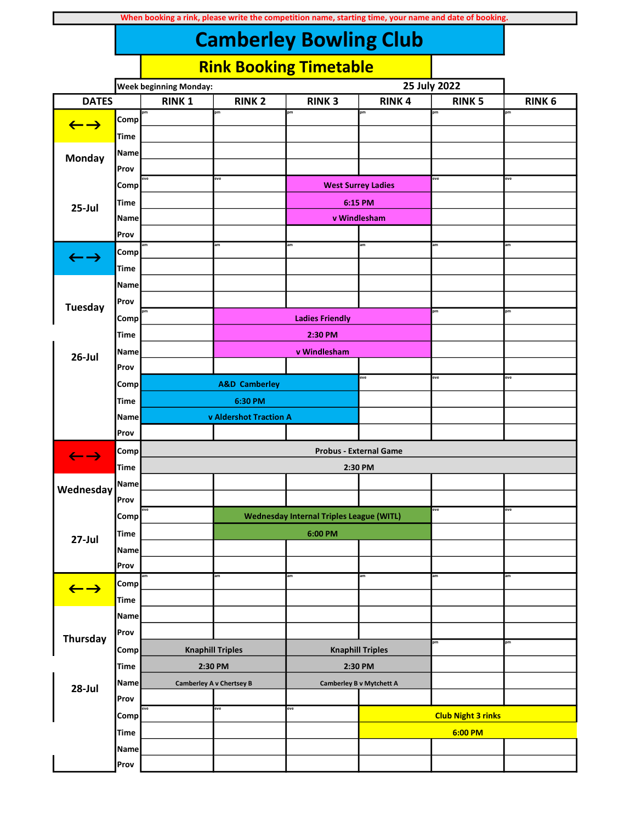| When booking a rink, please write the competition name, starting time, your name and date of booking. |  |
|-------------------------------------------------------------------------------------------------------|--|
|-------------------------------------------------------------------------------------------------------|--|

|                            |              | <b>Week beginning Monday:</b> | 25 July 2022                    |                                                 |                           |                           |               |
|----------------------------|--------------|-------------------------------|---------------------------------|-------------------------------------------------|---------------------------|---------------------------|---------------|
| <b>DATES</b>               |              | <b>RINK1</b>                  | <b>RINK 2</b>                   | <b>RINK3</b>                                    | <b>RINK4</b>              | <b>RINK 5</b>             | <b>RINK 6</b> |
| $\leftarrow$ $\rightarrow$ | <b>Comp</b>  | pm                            | pm                              | pm                                              | pm                        | pm                        | pm            |
|                            | Time         |                               |                                 |                                                 |                           |                           |               |
|                            | Name         |                               |                                 |                                                 |                           |                           |               |
| Monday                     | Prov         |                               |                                 |                                                 |                           |                           |               |
|                            | Comp         | eve                           | eve                             |                                                 | <b>West Surrey Ladies</b> | eve                       | eve           |
|                            | Time         |                               |                                 |                                                 | 6:15 PM                   |                           |               |
| $25$ -Jul                  | Name         |                               |                                 |                                                 | v Windlesham              |                           |               |
|                            | Prov         |                               |                                 |                                                 |                           |                           |               |
|                            | Comp         | am                            | am                              | am                                              | am                        | am                        | am            |
| $\leftarrow \rightarrow$   | <b>Time</b>  |                               |                                 |                                                 |                           |                           |               |
|                            |              |                               |                                 |                                                 |                           |                           |               |
|                            | Name<br>Prov |                               |                                 |                                                 |                           |                           |               |
| <b>Tuesday</b>             |              |                               |                                 |                                                 |                           | pm                        | pm            |
|                            | Comp         |                               |                                 | <b>Ladies Friendly</b>                          |                           |                           |               |
|                            | Time         |                               |                                 | 2:30 PM                                         |                           |                           |               |
| $26$ -Jul                  | <b>Name</b>  |                               |                                 | v Windlesham                                    |                           |                           |               |
|                            | Prov         |                               |                                 |                                                 | eve                       | eve                       | eve           |
|                            | Comp         |                               | <b>A&amp;D Camberley</b>        |                                                 |                           |                           |               |
|                            | <b>Time</b>  |                               | 6:30 PM                         |                                                 |                           |                           |               |
|                            | Name         |                               | v Aldershot Traction A          |                                                 |                           |                           |               |
|                            | Prov         |                               |                                 |                                                 |                           |                           |               |
| $\leftarrow$ $\rightarrow$ | Comp         | <b>Probus - External Game</b> |                                 |                                                 |                           |                           |               |
|                            | <b>Time</b>  |                               |                                 |                                                 | 2:30 PM                   |                           |               |
| Wednesday                  | Name         |                               |                                 |                                                 |                           |                           |               |
|                            | Prov         | eve                           |                                 |                                                 |                           | eve                       | eve           |
|                            | Comp         |                               |                                 | <b>Wednesday Internal Triples League (WITL)</b> |                           |                           |               |
| $27$ -Jul                  | Time         |                               |                                 | 6:00 PM                                         |                           |                           |               |
|                            | <b>Name</b>  |                               |                                 |                                                 |                           |                           |               |
|                            | Prov         | am                            |                                 |                                                 |                           |                           |               |
| $\leftarrow$ $\rightarrow$ | Comp         |                               | am                              | am                                              | am                        | am                        | am            |
|                            | <b>Time</b>  |                               |                                 |                                                 |                           |                           |               |
|                            | <b>Name</b>  |                               |                                 |                                                 |                           |                           |               |
| Thursday                   | Prov         |                               |                                 |                                                 |                           |                           |               |
|                            | Comp         | <b>Knaphill Triples</b>       |                                 | <b>Knaphill Triples</b>                         |                           | pm                        | pm            |
|                            | <b>Time</b>  | 2:30 PM                       |                                 | 2:30 PM                                         |                           |                           |               |
| 28-Jul                     | Name         |                               | <b>Camberley A v Chertsey B</b> | <b>Camberley B v Mytchett A</b>                 |                           |                           |               |
|                            | Prov         |                               |                                 |                                                 |                           |                           |               |
|                            | Comp         | eve                           | eve                             | eve                                             |                           | <b>Club Night 3 rinks</b> |               |
|                            | <b>Time</b>  |                               |                                 |                                                 |                           | 6:00 PM                   |               |
|                            | Name         |                               |                                 |                                                 |                           |                           |               |
|                            | Prov         |                               |                                 |                                                 |                           |                           |               |